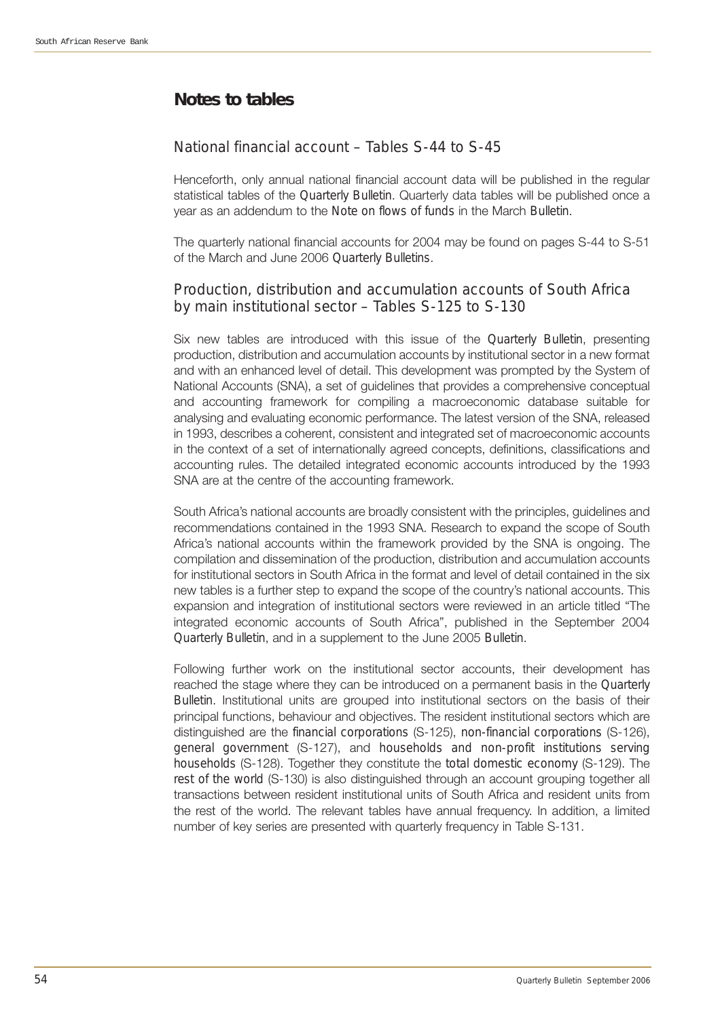## **Notes to tables**

## National financial account – Tables S-44 to S-45

Henceforth, only annual national financial account data will be published in the regular statistical tables of the *Quarterly Bulletin*. Quarterly data tables will be published once a year as an addendum to the *Note on flows of funds* in the March *Bulletin*.

The quarterly national financial accounts for 2004 may be found on pages S-44 to S-51 of the March and June 2006 *Quarterly Bulletins*.

## Production, distribution and accumulation accounts of South Africa by main institutional sector – Tables S-125 to S-130

Six new tables are introduced with this issue of the *Quarterly Bulletin*, presenting production, distribution and accumulation accounts by institutional sector in a new format and with an enhanced level of detail. This development was prompted by the System of National Accounts (SNA), a set of guidelines that provides a comprehensive conceptual and accounting framework for compiling a macroeconomic database suitable for analysing and evaluating economic performance. The latest version of the SNA, released in 1993, describes a coherent, consistent and integrated set of macroeconomic accounts in the context of a set of internationally agreed concepts, definitions, classifications and accounting rules. The detailed integrated economic accounts introduced by the 1993 SNA are at the centre of the accounting framework.

South Africa's national accounts are broadly consistent with the principles, guidelines and recommendations contained in the 1993 SNA. Research to expand the scope of South Africa's national accounts within the framework provided by the SNA is ongoing. The compilation and dissemination of the production, distribution and accumulation accounts for institutional sectors in South Africa in the format and level of detail contained in the six new tables is a further step to expand the scope of the country's national accounts. This expansion and integration of institutional sectors were reviewed in an article titled "The integrated economic accounts of South Africa", published in the September 2004 *Quarterly Bulletin*, and in a supplement to the June 2005 *Bulletin*.

Following further work on the institutional sector accounts, their development has reached the stage where they can be introduced on a permanent basis in the *Quarterly Bulletin*. Institutional units are grouped into institutional sectors on the basis of their principal functions, behaviour and objectives. The resident institutional sectors which are distinguished are the *financial corporations* (S-125), *non-financial corporations* (S-126), *general government* (S-127), and *households and non-profit institutions serving households* (S-128). Together they constitute the *total domestic economy* (S-129). The *rest of the world* (S-130) is also distinguished through an account grouping together all transactions between resident institutional units of South Africa and resident units from the rest of the world. The relevant tables have annual frequency. In addition, a limited number of key series are presented with quarterly frequency in Table S-131.